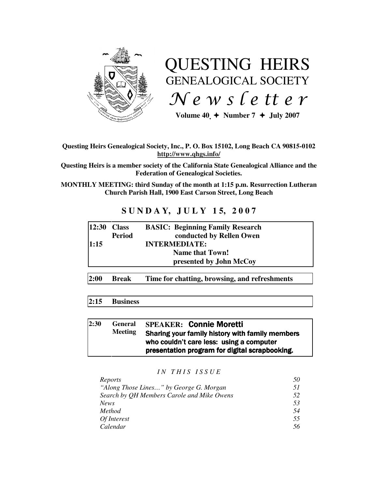

# QUESTING HEIRS GENEALOGICAL SOCIETY  $Ne$  w s letter

Volume  $40 \div \text{Number 7} \div \text{July 2007}$ 

#### **Questing Heirs Genealogical Society, Inc., P. O. Box 15102, Long Beach CA 90815-0102 http://www.qhgs.info/**

**Questing Heirs is a member society of the California State Genealogical Alliance and the Federation of Genealogical Societies.** 

**MONTHLY MEETING: third Sunday of the month at 1:15 p.m. Resurrection Lutheran Church Parish Hall, 1900 East Carson Street, Long Beach** 

## **S U N D A Y, J U L Y 1 5, 2 0 0 7**

| $12:30$ Class |               | <b>BASIC: Beginning Family Research</b> |
|---------------|---------------|-----------------------------------------|
|               | <b>Period</b> | conducted by Rellen Owen                |
| 1:15          |               | <b>INTERMEDIATE:</b>                    |
|               |               | <b>Name that Town!</b>                  |
|               |               | presented by John McCoy                 |
|               |               |                                         |

**2:00 Break Time for chatting, browsing, and refreshments** 

### **2:15 Business**

#### **2:30 General Meeting SPEAKER: Connie Moretti** Sharing your family history with family members who couldn't care less: using a computer presentation program for digital scrapbooking.

### *I N T H I S I S S U E*

| Reports                                    | 50 |
|--------------------------------------------|----|
| "Along Those Lines" by George G. Morgan    | 51 |
| Search by QH Members Carole and Mike Owens | 52 |
| <b>News</b>                                | 53 |
| <i>Method</i>                              | 54 |
| Of Interest                                | 55 |
| Calendar                                   | 56 |
|                                            |    |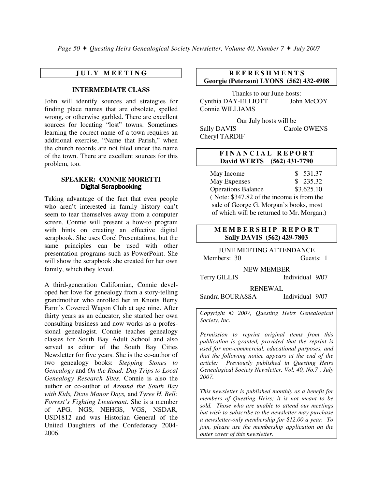*Page 50*  $\div$  *Ouesting Heirs Genealogical Society Newsletter, Volume 40, Number 7*  $\div$  *July 2007* 

#### **J U L Y M E E T I N G**

#### **INTERMEDIATE CLASS**

John will identify sources and strategies for finding place names that are obsolete, spelled wrong, or otherwise garbled. There are excellent sources for locating "lost" towns. Sometimes learning the correct name of a town requires an additional exercise, "Name that Parish," when the church records are not filed under the name of the town. There are excellent sources for this problem, too.

#### **SPEAKER: CONNIE MORETTI Digital Scrapbooking**

Taking advantage of the fact that even people who aren't interested in family history can't seem to tear themselves away from a computer screen, Connie will present a how-to program with hints on creating an effective digital scrapbook. She uses Corel Presentations, but the same principles can be used with other presentation programs such as PowerPoint. She will show the scrapbook she created for her own family, which they loved.

A third-generation Californian, Connie developed her love for genealogy from a story-telling grandmother who enrolled her in Knotts Berry Farm's Covered Wagon Club at age nine. After thirty years as an educator, she started her own consulting business and now works as a professional genealogist. Connie teaches genealogy classes for South Bay Adult School and also served as editor of the South Bay Cities Newsletter for five years. She is the co-author of two genealogy books: *Stepping Stones to Genealogy* and *On the Road: Day Trips to Local Genealogy Research Sites.* Connie is also the author or co-author of *Around the South Bay with Kids, Dixie Manor Days,* and *Tyree H. Bell: Forrest's Fighting Lieutenant.* She is a member of APG, NGS, NEHGS, VGS, NSDAR, USD1812 and was Historian General of the United Daughters of the Confederacy 2004- 2006.

#### **R E F R E S H M E N T S Georgie (Peterson) LYONS (562) 432-4908**

Thanks to our June hosts: Cynthia DAY-ELLIOTT John McCOY Connie WILLIAMS

Our July hosts will be Sally DAVIS Carole OWENS Cheryl TARDIF

#### **F I N A N C I A L R E P O R T David WERTS (562) 431-7790**

May Income \$ 531.37 May Expenses \$ 235.32 Operations Balance \$3,625.10 ( Note: \$347.82 of the income is from the sale of George G. Morgan's books, most of which will be returned to Mr. Morgan.)

#### **MEMBERSHIP REPORT Sally DAVIS (562) 429-7803**

JUNE MEETING ATTENDANCE Members: 30 Guests: 1

NEW MEMBER

Terry GILLIS Individual  $9/07$ 

RENEWAL

Sandra BOURASSA Individual 9/07

*Copyright* © *2007, Questing Heirs Genealogical Society, Inc.* 

*Permission to reprint original items from this publication is granted, provided that the reprint is used for non-commercial, educational purposes, and that the following notice appears at the end of the article: Previously published in Questing Heirs Genealogical Society Newsletter, Vol. 40, No.7 , July 2007.* 

*This newsletter is published monthly as a benefit for members of Questing Heirs; it is not meant to be sold. Those who are unable to attend our meetings but wish to subscribe to the newsletter may purchase a newsletter-only membership for \$12.00 a year. To join, please use the membership application on the outer cover of this newsletter.*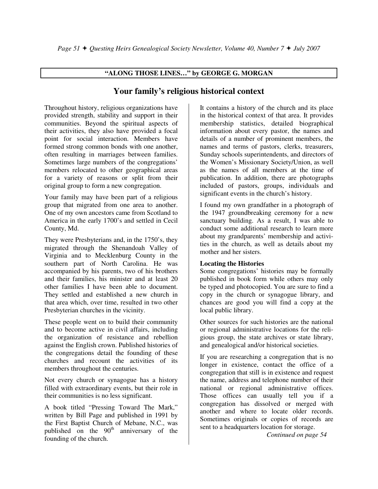#### **"ALONG THOSE LINES…" by GEORGE G. MORGAN**

## **Your family's religious historical context**

Throughout history, religious organizations have provided strength, stability and support in their communities. Beyond the spiritual aspects of their activities, they also have provided a focal point for social interaction. Members have formed strong common bonds with one another, often resulting in marriages between families. Sometimes large numbers of the congregations' members relocated to other geographical areas for a variety of reasons or split from their original group to form a new congregation.

Your family may have been part of a religious group that migrated from one area to another. One of my own ancestors came from Scotland to America in the early 1700's and settled in Cecil County, Md.

They were Presbyterians and, in the 1750's, they migrated through the Shenandoah Valley of Virginia and to Mecklenburg County in the southern part of North Carolina. He was accompanied by his parents, two of his brothers and their families, his minister and at least 20 other families I have been able to document. They settled and established a new church in that area which, over time, resulted in two other Presbyterian churches in the vicinity.

These people went on to build their community and to become active in civil affairs, including the organization of resistance and rebellion against the English crown. Published histories of the congregations detail the founding of these churches and recount the activities of its members throughout the centuries.

Not every church or synagogue has a history filled with extraordinary events, but their role in their communities is no less significant.

A book titled "Pressing Toward The Mark," written by Bill Page and published in 1991 by the First Baptist Church of Mebane, N.C., was published on the  $90<sup>th</sup>$  anniversary of the founding of the church.

It contains a history of the church and its place in the historical context of that area. It provides membership statistics, detailed biographical information about every pastor, the names and details of a number of prominent members, the names and terms of pastors, clerks, treasurers, Sunday schools superintendents, and directors of the Women's Missionary Society/Union, as well as the names of all members at the time of publication. In addition, there are photographs included of pastors, groups, individuals and significant events in the church's history.

I found my own grandfather in a photograph of the 1947 groundbreaking ceremony for a new sanctuary building. As a result, I was able to conduct some additional research to learn more about my grandparents' membership and activities in the church, as well as details about my mother and her sisters.

#### **Locating the Histories**

Some congregations' histories may be formally published in book form while others may only be typed and photocopied. You are sure to find a copy in the church or synagogue library, and chances are good you will find a copy at the local public library.

Other sources for such histories are the national or regional administrative locations for the religious group, the state archives or state library, and genealogical and/or historical societies.

If you are researching a congregation that is no longer in existence, contact the office of a congregation that still is in existence and request the name, address and telephone number of their national or regional administrative offices. Those offices can usually tell you if a congregation has dissolved or merged with another and where to locate older records. Sometimes originals or copies of records are sent to a headquarters location for storage.

*Continued on page 54*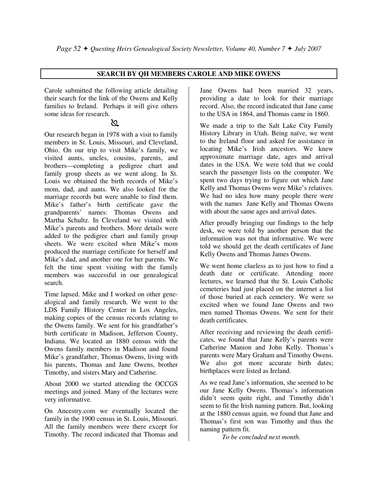#### **SEARCH BY QH MEMBERS CAROLE AND MIKE OWENS**

Carole submitted the following article detailing their search for the link of the Owens and Kelly families to Ireland. Perhaps it will give others some ideas for research.

## $\sim$  -  $\approx$  -  $\sim$   $\sim$   $\sim$

Our research began in 1978 with a visit to family members in St. Louis, Missouri, and Cleveland, Ohio. On our trip to visit Mike's family, we visited aunts, uncles, cousins, parents, and brothers—completing a pedigree chart and family group sheets as we went along. In St. Louis we obtained the birth records of Mike's mom, dad, and aunts. We also looked for the marriage records but were unable to find them. Mike's father's birth certificate gave the grandparents' names: Thomas Owens and Martha Schultz. In Cleveland we visited with Mike's parents and brothers. More details were added to the pedigree chart and family group sheets. We were excited when Mike's mom produced the marriage certificate for herself and Mike's dad, and another one for her parents. We felt the time spent visiting with the family members was successful in our genealogical search.

Time lapsed. Mike and I worked on other genealogical and family research. We went to the LDS Family History Center in Los Angeles, making copies of the census records relating to the Owens family. We sent for his grandfather's birth certificate in Madison, Jefferson County, Indiana. We located an 1880 census with the Owens family members in Madison and found Mike's grandfather, Thomas Owens, living with his parents, Thomas and Jane Owens, brother Timothy, and sisters Mary and Catherine.

About 2000 we started attending the OCCGS meetings and joined. Many of the lectures were very informative.

On Ancestry.com we eventually located the family in the 1900 census in St. Louis, Missouri. All the family members were there except for Timothy. The record indicated that Thomas and Jane Owens had been married 32 years, providing a date to look for their marriage record. Also, the record indicated that Jane came to the USA in 1864, and Thomas came in 1860.

We made a trip to the Salt Lake City Family History Library in Utah. Being naïve, we went to the Ireland floor and asked for assistance in locating Mike's Irish ancestors. We knew approximate marriage date, ages and arrival dates in the USA. We were told that we could search the passenger lists on the computer. We spent two days trying to figure out which Jane Kelly and Thomas Owens were Mike's relatives. We had no idea how many people there were with the names Jane Kelly and Thomas Owens with about the same ages and arrival dates.

After proudly bringing our findings to the help desk, we were told by another person that the information was not that informative. We were told we should get the death certificates of Jane Kelly Owens and Thomas James Owens.

We went home clueless as to just how to find a death date or certificate. Attending more lectures, we learned that the St. Louis Catholic cemeteries had just placed on the internet a list of those buried at each cemetery. We were so excited when we found Jane Owens and two men named Thomas Owens. We sent for their death certificates.

After receiving and reviewing the death certificates, we found that Jane Kelly's parents were Catherine Manion and John Kelly. Thomas's parents were Mary Graham and Timothy Owens. We also got more accurate birth dates; birthplaces were listed as Ireland.

As we read Jane's information, she seemed to be our Jane Kelly Owens. Thomas's information didn't seem quite right, and Timothy didn't seem to fit the Irish naming pattern. But, looking at the 1880 census again, we found that Jane and Thomas's first son was Timothy and thus the naming pattern fit.

 *To be concluded next month.*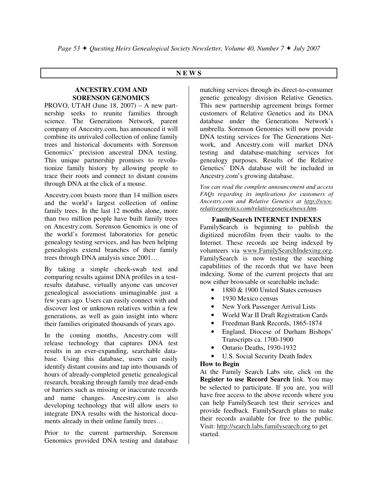#### **N E W S**

#### **ANCESTRY.COM AND SORENSON GENOMICS**

PROVO, UTAH (June 18, 2007) – A new partnership seeks to reunite families through science. The Generations Network, parent company of Ancestry.com, has announced it will combine its unrivaled collection of online family trees and historical documents with Sorenson Genomics' precision ancestral DNA testing. This unique partnership promises to revolutionize family history by allowing people to trace their roots and connect to distant cousins through DNA at the click of a mouse.

Ancestry.com boasts more than 14 million users and the world's largest collection of online family trees. In the last 12 months alone, more than two million people have built family trees on Ancestry.com. Sorenson Genomics is one of the world's foremost laboratories for genetic genealogy testing services, and has been helping genealogists extend branches of their family trees through DNA analysis since 2001…

By taking a simple cheek-swab test and comparing results against DNA profiles in a testresults database, virtually anyone can uncover genealogical associations unimaginable just a few years ago. Users can easily connect with and discover lost or unknown relatives within a few generations, as well as gain insight into where their families originated thousands of years ago.

In the coming months, Ancestry.com will release technology that captures DNA test results in an ever-expanding, searchable database. Using this database, users can easily identify distant cousins and tap into thousands of hours of already-completed genetic genealogical research, breaking through family tree dead-ends or barriers such as missing or inaccurate records and name changes. Ancestry.com is also developing technology that will allow users to integrate DNA results with the historical documents already in their online family trees…

Prior to the current partnership, Sorenson Genomics provided DNA testing and database

matching services through its direct-to-consumer genetic genealogy division Relative Genetics. This new partnership agreement brings former customers of Relative Genetics and its DNA database under the Generations Network's umbrella. Sorenson Genomics will now provide DNA testing services for The Generations Network, and Ancestry.com will market DNA testing and database-matching services for genealogy purposes. Results of the Relative Genetics' DNA database will be included in Ancestry.com's growing database.

*You can read the complete announcement and access FAQs regarding its implications for customers of Ancestry.com and Relative Genetics at http://www. relativegenetics.com/relativegenetics/news.htm.* 

#### **FamilySearch INTERNET INDEXES**

FamilySearch is beginning to publish the digitized microfilm from their vaults to the Internet. These records are being indexed by volunteers via www.FamilySearchIndexing.org. FamilySearch is now testing the searching capabilities of the records that we have been indexing. Some of the current projects that are now either browsable or searchable include:

- 1880 & 1900 United States censuses
- 1930 Mexico census
- New York Passenger Arrival Lists
- World War II Draft Registration Cards
- Freedman Bank Records, 1865-1874
- England, Diocese of Durham Bishops' Transcripts ca. 1700-1900
- Ontario Deaths, 1930-1932
- U.S. Social Security Death Index

#### **How to Begin**

At the Family Search Labs site, click on the **Register to use Record Search** link. You may be selected to participate. If you are, you will have free access to the above records where you can help FamilySearch test their services and provide feedback. FamilySearch plans to make their records available for free to the public. Visit: http://search.labs.familysearch.org to get started.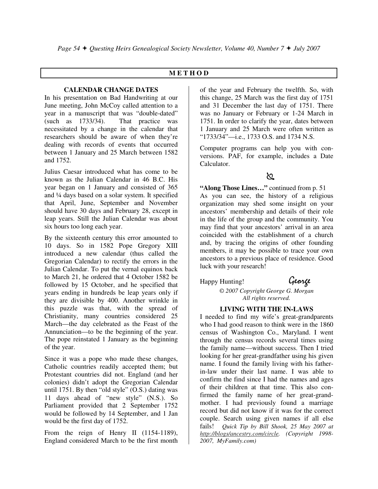#### **M E T H O D**

#### **CALENDAR CHANGE DATES**

In his presentation on Bad Handwriting at our June meeting, John McCoy called attention to a year in a manuscript that was "double-dated" (such as 1733/34). That practice was necessitated by a change in the calendar that researchers should be aware of when they're dealing with records of events that occurred between 1 January and 25 March between 1582 and 1752.

Julius Caesar introduced what has come to be known as the Julian Calendar in 46 B.C. His year began on 1 January and consisted of 365 and ¼ days based on a solar system. It specified that April, June, September and November should have 30 days and February 28, except in leap years. Still the Julian Calendar was about six hours too long each year.

By the sixteenth century this error amounted to 10 days. So in 1582 Pope Gregory XIII introduced a new calendar (thus called the Gregorian Calendar) to rectify the errors in the Julian Calendar. To put the vernal equinox back to March 21, he ordered that 4 October 1582 be followed by 15 October, and he specified that years ending in hundreds be leap years only if they are divisible by 400. Another wrinkle in this puzzle was that, with the spread of Christianity, many countries considered 25 March—the day celebrated as the Feast of the Annunciation—to be the beginning of the year. The pope reinstated 1 January as the beginning of the year.

Since it was a pope who made these changes, Catholic countries readily accepted them; but Protestant countries did not. England (and her colonies) didn't adopt the Gregorian Calendar until 1751. By then "old style" (O.S.) dating was 11 days ahead of "new style" (N.S.). So Parliament provided that 2 September 1752 would be followed by 14 September, and 1 Jan would be the first day of 1752.

From the reign of Henry II (1154-1189), England considered March to be the first month of the year and February the twelfth. So, with this change, 25 March was the first day of 1751 and 31 December the last day of 1751. There was no January or February or 1-24 March in 1751. In order to clarify the year, dates between 1 January and 25 March were often written as "1733/34"—i.e., 1733 O.S. and 1734 N.S.

Computer programs can help you with conversions. PAF, for example, includes a Date Calculator.

 $\mathbb{Z}$  and  $\mathbb{Z}$ 

**"Along Those Lines…"** continued from p. 51 As you can see, the history of a religious organization may shed some insight on your ancestors' membership and details of their role in the life of the group and the community. You may find that your ancestors' arrival in an area coincided with the establishment of a church and, by tracing the origins of other founding members, it may be possible to trace your own ancestors to a previous place of residence. Good luck with your research!

Happy Hunting! George

*© 2007 Copyright George G. Morgan All rights reserved.* 

#### **LIVING WITH THE IN-LAWS**

I needed to find my wife's great-grandparents who I had good reason to think were in the 1860 census of Washington Co., Maryland. I went through the census records several times using the family name—without success. Then I tried looking for her great-grandfather using his given name. I found the family living with his fatherin-law under their last name. I was able to confirm the find since I had the names and ages of their children at that time. This also confirmed the family name of her great-grandmother. I had previously found a marriage record but did not know if it was for the correct couple. Search using given names if all else fails! *Quick Tip by Bill Shook, 25 May 2007 at http://blogs/ancestry.com/circle. (Copyright 1998- 2007, MyFamily.com)*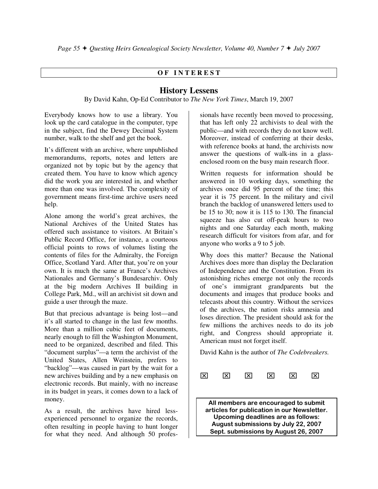#### **O F I N T E R E S T**

## **History Lessens**

By David Kahn, Op-Ed Contributor to *The New York Times*, March 19, 2007

Everybody knows how to use a library. You look up the card catalogue in the computer, type in the subject, find the Dewey Decimal System number, walk to the shelf and get the book.

It's different with an archive, where unpublished memorandums, reports, notes and letters are organized not by topic but by the agency that created them. You have to know which agency did the work you are interested in, and whether more than one was involved. The complexity of government means first-time archive users need help.

Alone among the world's great archives, the National Archives of the United States has offered such assistance to visitors. At Britain's Public Record Office, for instance, a courteous official points to rows of volumes listing the contents of files for the Admiralty, the Foreign Office, Scotland Yard. After that, you're on your own. It is much the same at France's Archives Nationales and Germany's Bundesarchiv. Only at the big modern Archives II building in College Park, Md., will an archivist sit down and guide a user through the maze.

But that precious advantage is being lost—and it's all started to change in the last few months. More than a million cubic feet of documents, nearly enough to fill the Washington Monument, need to be organized, described and filed. This "document surplus"—a term the archivist of the United States, Allen Weinstein, prefers to "backlog"—was caused in part by the wait for a new archives building and by a new emphasis on electronic records. But mainly, with no increase in its budget in years, it comes down to a lack of money.

As a result, the archives have hired lessexperienced personnel to organize the records, often resulting in people having to hunt longer for what they need. And although 50 professionals have recently been moved to processing, that has left only 22 archivists to deal with the public—and with records they do not know well. Moreover, instead of conferring at their desks, with reference books at hand, the archivists now answer the questions of walk-ins in a glassenclosed room on the busy main research floor.

Written requests for information should be answered in 10 working days, something the archives once did 95 percent of the time; this year it is 75 percent. In the military and civil branch the backlog of unanswered letters used to be 15 to 30; now it is 115 to 130. The financial squeeze has also cut off-peak hours to two nights and one Saturday each month, making research difficult for visitors from afar, and for anyone who works a 9 to 5 job.

Why does this matter? Because the National Archives does more than display the Declaration of Independence and the Constitution. From its astonishing riches emerge not only the records of one's immigrant grandparents but the documents and images that produce books and telecasts about this country. Without the services of the archives, the nation risks amnesia and loses direction. The president should ask for the few millions the archives needs to do its job right, and Congress should appropriate it. American must not forget itself.

David Kahn is the author of *The Codebreakers.* 



All members are encouraged to submit articles for publication in our Newsletter. Upcoming deadlines are as follows: August submissions by July 22, 2007 Sept. submissions by August 26, 2007